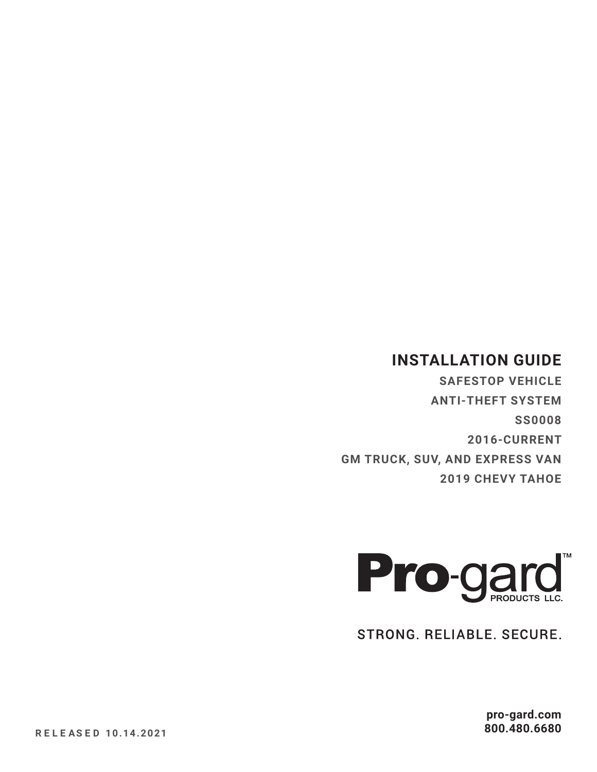# **INSTALLATION GUIDE**

**SAFESTOP VEHICLE ANTI-THEFT SYSTEM SS0008 2016-CURRENT GM TRUCK, SUV, AND EXPRESS VAN 2019 CHEVY TAHOE**



STRONG. RELIABLE. SECURE.

**pro-gard.com 800.480.6680**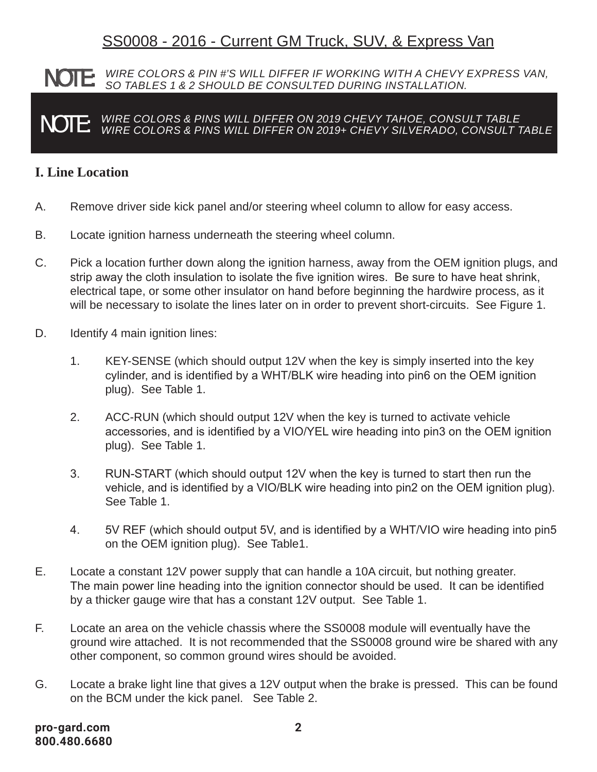# SS0008 - 2016 - Current GM Truck, SUV, & Express Van

#### **NOTE:** WIRE COLORS & PIN #'S WILL DIFFER IF WORKING WITH A CHEVY EXPRESS VAN,<br>NOTE: SO TABLES 1 & 2 SHOULD BE CONSULTED DURING INSTALLATION.  *SO TABLES 1 & 2 SHOULD BE CONSULTED DURING INSTALLATION.*

 NOTE: *WIRE COLORS & PINS WILL DIFFER ON 2019 CHEVY TAHOE, CONSULT TABLE WIRE COLORS & PINS WILL DIFFER ON 2019+ CHEVY SILVERADO, CONSULT TABLE*

#### **I. Line Location**

- A. Remove driver side kick panel and/or steering wheel column to allow for easy access.
- B. Locate ignition harness underneath the steering wheel column.
- C. Pick a location further down along the ignition harness, away from the OEM ignition plugs, and strip away the cloth insulation to isolate the five ignition wires. Be sure to have heat shrink, electrical tape, or some other insulator on hand before beginning the hardwire process, as it will be necessary to isolate the lines later on in order to prevent short-circuits. See Figure 1.
- D. Identify 4 main ignition lines:
	- 1. KEY-SENSE (which should output 12V when the key is simply inserted into the key cylinder, and is identified by a WHT/BLK wire heading into pin6 on the OEM ignition plug). See Table 1.
	- 2. ACC-RUN (which should output 12V when the key is turned to activate vehicle accessories, and is identified by a VIO/YEL wire heading into pin3 on the OEM ignition plug). See Table 1.
	- 3. RUN-START (which should output 12V when the key is turned to start then run the vehicle, and is identified by a VIO/BLK wire heading into pin2 on the OEM ignition plug). See Table 1.
	- 4. 5V REF (which should output 5V, and is identified by a WHT/VIO wire heading into pin5 on the OEM ignition plug). See Table1.
- E. Locate a constant 12V power supply that can handle a 10A circuit, but nothing greater. The main power line heading into the ignition connector should be used. It can be identified by a thicker gauge wire that has a constant 12V output. See Table 1.
- F. Locate an area on the vehicle chassis where the SS0008 module will eventually have the ground wire attached. It is not recommended that the SS0008 ground wire be shared with any other component, so common ground wires should be avoided.
- G. Locate a brake light line that gives a 12V output when the brake is pressed. This can be found on the BCM under the kick panel. See Table 2.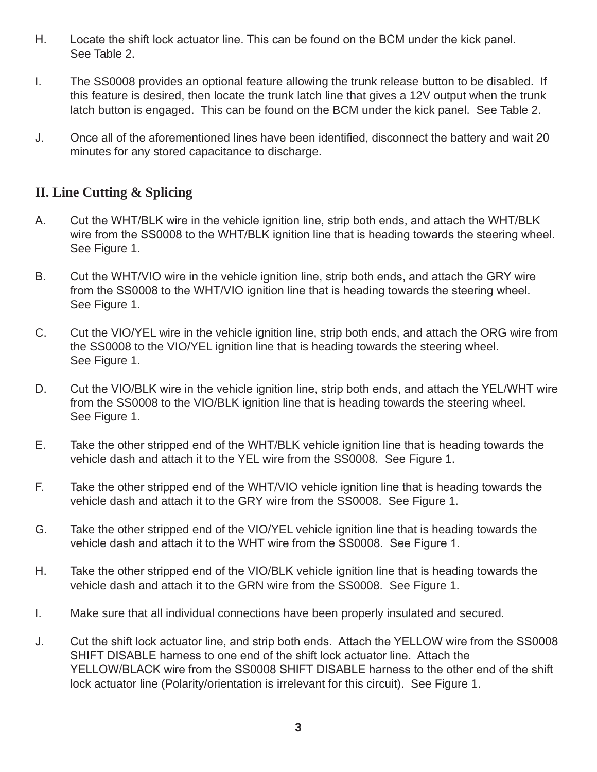- H. Locate the shift lock actuator line. This can be found on the BCM under the kick panel. See Table 2.
- I. The SS0008 provides an optional feature allowing the trunk release button to be disabled. If this feature is desired, then locate the trunk latch line that gives a 12V output when the trunk latch button is engaged. This can be found on the BCM under the kick panel. See Table 2.
- J. Once all of the aforementioned lines have been identified, disconnect the battery and wait 20 minutes for any stored capacitance to discharge.

### **II. Line Cutting & Splicing**

- A. Cut the WHT/BLK wire in the vehicle ignition line, strip both ends, and attach the WHT/BLK wire from the SS0008 to the WHT/BLK ignition line that is heading towards the steering wheel. See Figure 1.
- B. Cut the WHT/VIO wire in the vehicle ignition line, strip both ends, and attach the GRY wire from the SS0008 to the WHT/VIO ignition line that is heading towards the steering wheel. See Figure 1.
- C. Cut the VIO/YEL wire in the vehicle ignition line, strip both ends, and attach the ORG wire from the SS0008 to the VIO/YEL ignition line that is heading towards the steering wheel. See Figure 1.
- D. Cut the VIO/BLK wire in the vehicle ignition line, strip both ends, and attach the YEL/WHT wire from the SS0008 to the VIO/BLK ignition line that is heading towards the steering wheel. See Figure 1.
- E. Take the other stripped end of the WHT/BLK vehicle ignition line that is heading towards the vehicle dash and attach it to the YEL wire from the SS0008. See Figure 1.
- F. Take the other stripped end of the WHT/VIO vehicle ignition line that is heading towards the vehicle dash and attach it to the GRY wire from the SS0008. See Figure 1.
- G. Take the other stripped end of the VIO/YEL vehicle ignition line that is heading towards the vehicle dash and attach it to the WHT wire from the SS0008. See Figure 1.
- H. Take the other stripped end of the VIO/BLK vehicle ignition line that is heading towards the vehicle dash and attach it to the GRN wire from the SS0008. See Figure 1.
- I. Make sure that all individual connections have been properly insulated and secured.
- J. Cut the shift lock actuator line, and strip both ends. Attach the YELLOW wire from the SS0008 SHIFT DISABLE harness to one end of the shift lock actuator line. Attach the YELLOW/BLACK wire from the SS0008 SHIFT DISABLE harness to the other end of the shift lock actuator line (Polarity/orientation is irrelevant for this circuit). See Figure 1.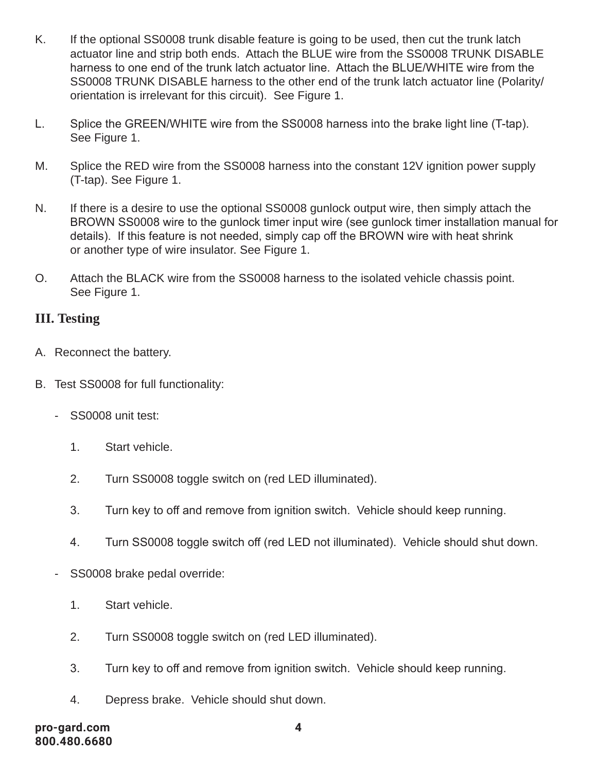- K. If the optional SS0008 trunk disable feature is going to be used, then cut the trunk latch actuator line and strip both ends. Attach the BLUE wire from the SS0008 TRUNK DISABLE harness to one end of the trunk latch actuator line. Attach the BLUE/WHITE wire from the SS0008 TRUNK DISABLE harness to the other end of the trunk latch actuator line (Polarity/ orientation is irrelevant for this circuit). See Figure 1.
- L. Splice the GREEN/WHITE wire from the SS0008 harness into the brake light line (T-tap). See Figure 1.
- M. Splice the RED wire from the SS0008 harness into the constant 12V ignition power supply (T-tap). See Figure 1.
- N. If there is a desire to use the optional SS0008 gunlock output wire, then simply attach the BROWN SS0008 wire to the gunlock timer input wire (see gunlock timer installation manual for details). If this feature is not needed, simply cap off the BROWN wire with heat shrink or another type of wire insulator. See Figure 1.
- O. Attach the BLACK wire from the SS0008 harness to the isolated vehicle chassis point. See Figure 1.

#### **III. Testing**

- A. Reconnect the battery.
- B. Test SS0008 for full functionality:
	- SS0008 unit test:
		- 1. Start vehicle.
		- 2. Turn SS0008 toggle switch on (red LED illuminated).
		- 3. Turn key to off and remove from ignition switch. Vehicle should keep running.
		- 4. Turn SS0008 toggle switch off (red LED not illuminated). Vehicle should shut down.
	- SS0008 brake pedal override:
		- 1. Start vehicle.
		- 2. Turn SS0008 toggle switch on (red LED illuminated).
		- 3. Turn key to off and remove from ignition switch. Vehicle should keep running.
		- 4. Depress brake. Vehicle should shut down.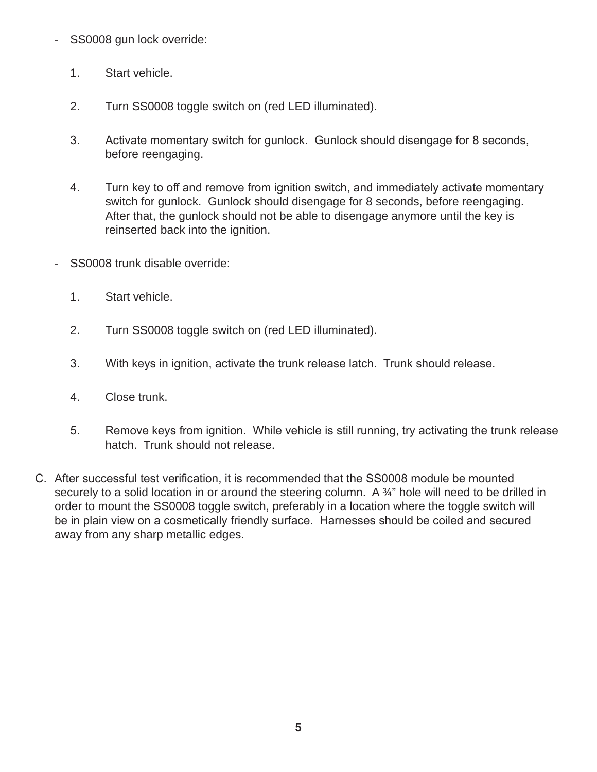- SS0008 gun lock override:
	- 1. Start vehicle.
	- 2. Turn SS0008 toggle switch on (red LED illuminated).
	- 3. Activate momentary switch for gunlock. Gunlock should disengage for 8 seconds, before reengaging.
	- 4. Turn key to off and remove from ignition switch, and immediately activate momentary switch for gunlock. Gunlock should disengage for 8 seconds, before reengaging. After that, the gunlock should not be able to disengage anymore until the key is reinserted back into the ignition.
- SS0008 trunk disable override:
	- 1. Start vehicle.
	- 2. Turn SS0008 toggle switch on (red LED illuminated).
	- 3. With keys in ignition, activate the trunk release latch. Trunk should release.
	- 4. Close trunk.
	- 5. Remove keys from ignition. While vehicle is still running, try activating the trunk release hatch. Trunk should not release.
- C. After successful test verification, it is recommended that the SS0008 module be mounted securely to a solid location in or around the steering column. A 3<sup>2</sup> hole will need to be drilled in order to mount the SS0008 toggle switch, preferably in a location where the toggle switch will be in plain view on a cosmetically friendly surface. Harnesses should be coiled and secured away from any sharp metallic edges.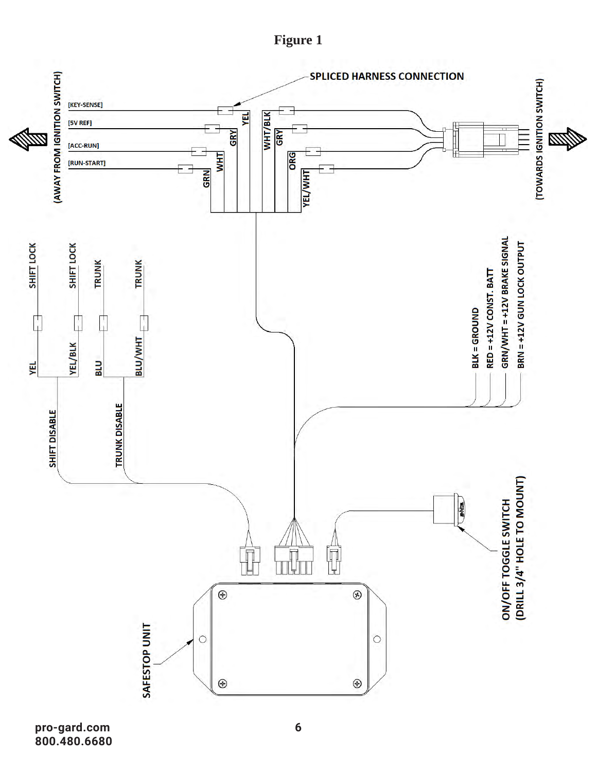



**pro-gard.com 800.480.6680**